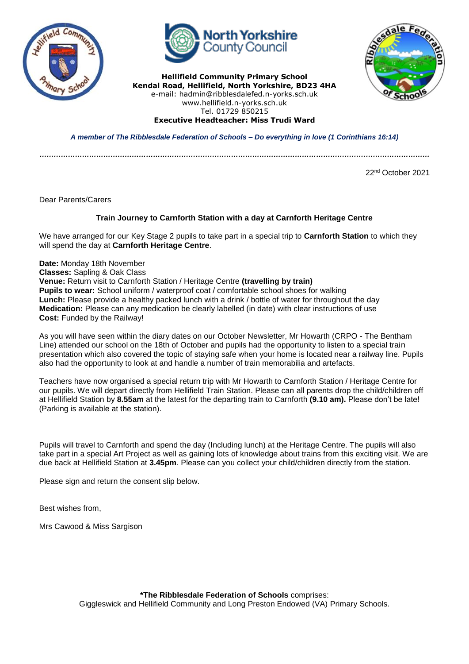



**Hellifield Community Primary School Kendal Road, Hellifield, North Yorkshire, BD23 4HA** e-mail: hadmin@ribblesdalefed.n-yorks.sch.uk www.hellifield.n-yorks.sch.uk Tel. 01729 850215



*A member of The Ribblesdale Federation of Schools – Do everything in love (1 Corinthians 16:14)*

**Executive Headteacher: Miss Trudi Ward**

*…………………………………………………………………………………………………………………………………………………*

22nd October 2021

Dear Parents/Carers

## **Train Journey to Carnforth Station with a day at Carnforth Heritage Centre**

We have arranged for our Key Stage 2 pupils to take part in a special trip to **Carnforth Station** to which they will spend the day at **Carnforth Heritage Centre**.

**Date:** Monday 18th November **Classes:** Sapling & Oak Class **Venue:** Return visit to Carnforth Station / Heritage Centre **(travelling by train) Pupils to wear:** School uniform / waterproof coat / comfortable school shoes for walking **Lunch:** Please provide a healthy packed lunch with a drink / bottle of water for throughout the day **Medication:** Please can any medication be clearly labelled (in date) with clear instructions of use **Cost:** Funded by the Railway!

As you will have seen within the diary dates on our October Newsletter, Mr Howarth (CRPO - The Bentham Line) attended our school on the 18th of October and pupils had the opportunity to listen to a special train presentation which also covered the topic of staying safe when your home is located near a railway line. Pupils also had the opportunity to look at and handle a number of train memorabilia and artefacts.

Teachers have now organised a special return trip with Mr Howarth to Carnforth Station / Heritage Centre for our pupils. We will depart directly from Hellifield Train Station. Please can all parents drop the child/children off at Hellifield Station by **8.55am** at the latest for the departing train to Carnforth **(9.10 am).** Please don't be late! (Parking is available at the station).

Pupils will travel to Carnforth and spend the day (Including lunch) at the Heritage Centre. The pupils will also take part in a special Art Project as well as gaining lots of knowledge about trains from this exciting visit. We are due back at Hellifield Station at **3.45pm**. Please can you collect your child/children directly from the station.

Please sign and return the consent slip below.

Best wishes from,

Mrs Cawood & Miss Sargison